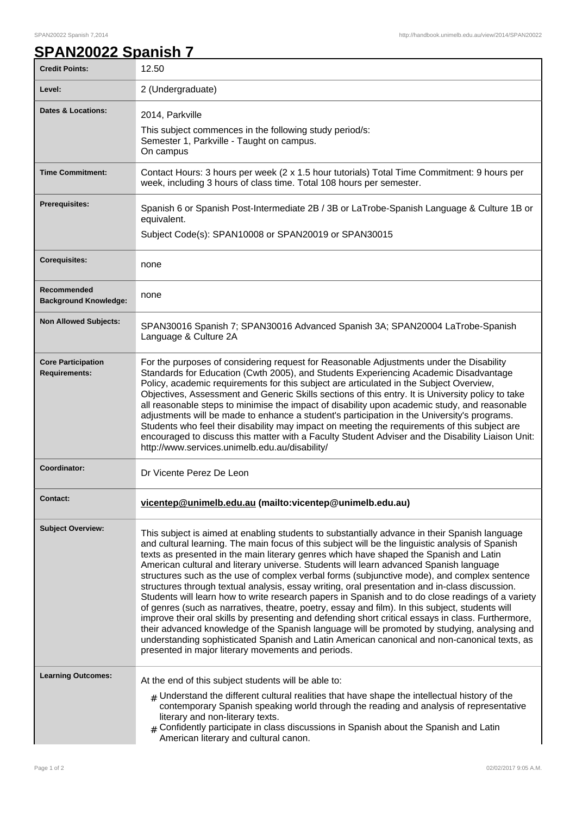## SPAN20022 Spanish 7,2014 http://handbook.unimelb.edu.au/view/2014/SPAN20022

## **SPAN20022 Spanish 7**

| <b>Credit Points:</b>                             | 12.50                                                                                                                                                                                                                                                                                                                                                                                                                                                                                                                                                                                                                                                                                                                                                                                                                                                                                                                                                                                                                                                                                                                                                      |
|---------------------------------------------------|------------------------------------------------------------------------------------------------------------------------------------------------------------------------------------------------------------------------------------------------------------------------------------------------------------------------------------------------------------------------------------------------------------------------------------------------------------------------------------------------------------------------------------------------------------------------------------------------------------------------------------------------------------------------------------------------------------------------------------------------------------------------------------------------------------------------------------------------------------------------------------------------------------------------------------------------------------------------------------------------------------------------------------------------------------------------------------------------------------------------------------------------------------|
| Level:                                            | 2 (Undergraduate)                                                                                                                                                                                                                                                                                                                                                                                                                                                                                                                                                                                                                                                                                                                                                                                                                                                                                                                                                                                                                                                                                                                                          |
| Dates & Locations:                                | 2014, Parkville<br>This subject commences in the following study period/s:<br>Semester 1, Parkville - Taught on campus.<br>On campus                                                                                                                                                                                                                                                                                                                                                                                                                                                                                                                                                                                                                                                                                                                                                                                                                                                                                                                                                                                                                       |
| <b>Time Commitment:</b>                           | Contact Hours: 3 hours per week (2 x 1.5 hour tutorials) Total Time Commitment: 9 hours per<br>week, including 3 hours of class time. Total 108 hours per semester.                                                                                                                                                                                                                                                                                                                                                                                                                                                                                                                                                                                                                                                                                                                                                                                                                                                                                                                                                                                        |
| <b>Prerequisites:</b>                             | Spanish 6 or Spanish Post-Intermediate 2B / 3B or LaTrobe-Spanish Language & Culture 1B or<br>equivalent.<br>Subject Code(s): SPAN10008 or SPAN20019 or SPAN30015                                                                                                                                                                                                                                                                                                                                                                                                                                                                                                                                                                                                                                                                                                                                                                                                                                                                                                                                                                                          |
| <b>Corequisites:</b>                              | none                                                                                                                                                                                                                                                                                                                                                                                                                                                                                                                                                                                                                                                                                                                                                                                                                                                                                                                                                                                                                                                                                                                                                       |
| Recommended<br><b>Background Knowledge:</b>       | none                                                                                                                                                                                                                                                                                                                                                                                                                                                                                                                                                                                                                                                                                                                                                                                                                                                                                                                                                                                                                                                                                                                                                       |
| <b>Non Allowed Subjects:</b>                      | SPAN30016 Spanish 7; SPAN30016 Advanced Spanish 3A; SPAN20004 LaTrobe-Spanish<br>Language & Culture 2A                                                                                                                                                                                                                                                                                                                                                                                                                                                                                                                                                                                                                                                                                                                                                                                                                                                                                                                                                                                                                                                     |
| <b>Core Participation</b><br><b>Requirements:</b> | For the purposes of considering request for Reasonable Adjustments under the Disability<br>Standards for Education (Cwth 2005), and Students Experiencing Academic Disadvantage<br>Policy, academic requirements for this subject are articulated in the Subject Overview,<br>Objectives, Assessment and Generic Skills sections of this entry. It is University policy to take<br>all reasonable steps to minimise the impact of disability upon academic study, and reasonable<br>adjustments will be made to enhance a student's participation in the University's programs.<br>Students who feel their disability may impact on meeting the requirements of this subject are<br>encouraged to discuss this matter with a Faculty Student Adviser and the Disability Liaison Unit:<br>http://www.services.unimelb.edu.au/disability/                                                                                                                                                                                                                                                                                                                    |
| Coordinator:                                      | Dr Vicente Perez De Leon                                                                                                                                                                                                                                                                                                                                                                                                                                                                                                                                                                                                                                                                                                                                                                                                                                                                                                                                                                                                                                                                                                                                   |
| Contact:                                          | vicentep@unimelb.edu.au (mailto:vicentep@unimelb.edu.au)                                                                                                                                                                                                                                                                                                                                                                                                                                                                                                                                                                                                                                                                                                                                                                                                                                                                                                                                                                                                                                                                                                   |
| <b>Subject Overview:</b>                          | This subject is aimed at enabling students to substantially advance in their Spanish language<br>and cultural learning. The main focus of this subject will be the linguistic analysis of Spanish<br>texts as presented in the main literary genres which have shaped the Spanish and Latin<br>American cultural and literary universe. Students will learn advanced Spanish language<br>structures such as the use of complex verbal forms (subjunctive mode), and complex sentence<br>structures through textual analysis, essay writing, oral presentation and in-class discussion.<br>Students will learn how to write research papers in Spanish and to do close readings of a variety<br>of genres (such as narratives, theatre, poetry, essay and film). In this subject, students will<br>improve their oral skills by presenting and defending short critical essays in class. Furthermore,<br>their advanced knowledge of the Spanish language will be promoted by studying, analysing and<br>understanding sophisticated Spanish and Latin American canonical and non-canonical texts, as<br>presented in major literary movements and periods. |
| <b>Learning Outcomes:</b>                         | At the end of this subject students will be able to:<br>$_{\#}$ Understand the different cultural realities that have shape the intellectual history of the<br>contemporary Spanish speaking world through the reading and analysis of representative<br>literary and non-literary texts.<br>$*$ Confidently participate in class discussions in Spanish about the Spanish and Latin<br>American literary and cultural canon.                                                                                                                                                                                                                                                                                                                                                                                                                                                                                                                                                                                                                                                                                                                              |